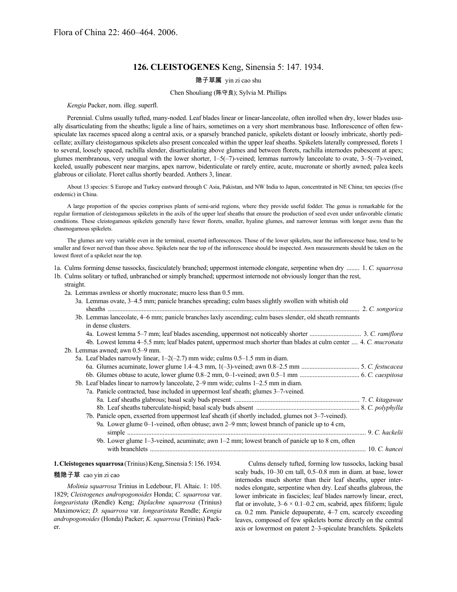# **126. CLEISTOGENES** Keng, Sinensia 5: 147. 1934.

## 隐子草属 yin zi cao shu

#### Chen Shouliang (陈守良); Sylvia M. Phillips

*Kengia* Packer, nom. illeg. superfl.

Perennial. Culms usually tufted, many-noded. Leaf blades linear or linear-lanceolate, often inrolled when dry, lower blades usually disarticulating from the sheaths; ligule a line of hairs, sometimes on a very short membranous base. Inflorescence of often fewspiculate lax racemes spaced along a central axis, or a sparsely branched panicle, spikelets distant or loosely imbricate, shortly pedicellate; axillary cleistogamous spikelets also present concealed within the upper leaf sheaths. Spikelets laterally compressed, florets 1 to several, loosely spaced, rachilla slender, disarticulating above glumes and between florets, rachilla internodes pubescent at apex; glumes membranous, very unequal with the lower shorter, 1–5(–7)-veined; lemmas narrowly lanceolate to ovate, 3–5(–7)-veined, keeled, usually pubescent near margins, apex narrow, bidenticulate or rarely entire, acute, mucronate or shortly awned; palea keels glabrous or ciliolate. Floret callus shortly bearded. Anthers 3, linear.

About 13 species: S Europe and Turkey eastward through C Asia, Pakistan, and NW India to Japan, concentrated in NE China; ten species (five endemic) in China.

A large proportion of the species comprises plants of semi-arid regions, where they provide useful fodder. The genus is remarkable for the regular formation of cleistogamous spikelets in the axils of the upper leaf sheaths that ensure the production of seed even under unfavorable climatic conditions. These cleistogamous spikelets generally have fewer florets, smaller, hyaline glumes, and narrower lemmas with longer awns than the chasmogamous spikelets.

The glumes are very variable even in the terminal, exserted inflorescences. Those of the lower spikelets, near the inflorescence base, tend to be smaller and fewer nerved than those above. Spikelets near the top of the inflorescence should be inspected. Awn measurements should be taken on the lowest floret of a spikelet near the top.

1a. Culms forming dense tussocks, fasciculately branched; uppermost internode elongate, serpentine when dry ........ 1. *C. squarrosa*

- 1b. Culms solitary or tufted, unbranched or simply branched; uppermost internode not obviously longer than the rest, straight.
	- 2a. Lemmas awnless or shortly mucronate; mucro less than 0.5 mm.

|  | 3a. Lemmas ovate, 3–4.5 mm; panicle branches spreading; culm bases slightly swollen with whitish old                           |  |
|--|--------------------------------------------------------------------------------------------------------------------------------|--|
|  | 3b. Lemmas lanceolate, 4–6 mm; panicle branches laxly ascending; culm bases slender, old sheath remnants<br>in dense clusters. |  |
|  |                                                                                                                                |  |
|  | 4b. Lowest lemma 4–5.5 mm; leaf blades patent, uppermost much shorter than blades at culm center  4. C. mucronata              |  |
|  | 2b. Lemmas awned; awn 0.5-9 mm.                                                                                                |  |
|  | 5a. Leaf blades narrowly linear, $1-2(-2.7)$ mm wide; culms $0.5-1.5$ mm in diam.                                              |  |
|  |                                                                                                                                |  |
|  |                                                                                                                                |  |
|  | 5b. Leaf blades linear to narrowly lanceolate, 2–9 mm wide; culms 1–2.5 mm in diam.                                            |  |
|  | 7a. Panicle contracted, base included in uppermost leaf sheath; glumes 3-7-veined.                                             |  |
|  |                                                                                                                                |  |
|  |                                                                                                                                |  |
|  | 7b. Panicle open, exserted from uppermost leaf sheath (if shortly included, glumes not 3–7-veined).                            |  |
|  | 9a. Lower glume 0–1-veined, often obtuse; awn 2–9 mm; lowest branch of panicle up to 4 cm,                                     |  |
|  |                                                                                                                                |  |
|  | 9b. Lower glume 1-3-veined, acuminate; awn 1-2 mm; lowest branch of panicle up to 8 cm, often                                  |  |
|  |                                                                                                                                |  |
|  |                                                                                                                                |  |

## **1.Cleistogenes squarrosa**(Trinius)Keng,Sinensia5:156.1934.

#### 糙隐子草 cao yin zi cao

*Molinia squarrosa* Trinius in Ledebour, Fl. Altaic. 1: 105. 1829; *Cleistogenes andropogonoides* Honda; *C. squarrosa* var. *longearistata* (Rendle) Keng; *Diplachne squarrosa* (Trinius) Maximowicz; *D. squarrosa* var. *longearistata* Rendle; *Kengia andropogonoides* (Honda) Packer; *K. squarrosa* (Trinius) Packer.

Culms densely tufted, forming low tussocks, lacking basal scaly buds, 10–30 cm tall, 0.5–0.8 mm in diam. at base, lower internodes much shorter than their leaf sheaths, upper internodes elongate, serpentine when dry. Leaf sheaths glabrous, the lower imbricate in fascicles; leaf blades narrowly linear, erect, flat or involute,  $3-6 \times 0.1-0.2$  cm, scabrid, apex filiform; ligule ca. 0.2 mm. Panicle depauperate, 4–7 cm, scarcely exceeding leaves, composed of few spikelets borne directly on the central axis or lowermost on patent 2–3-spiculate branchlets. Spikelets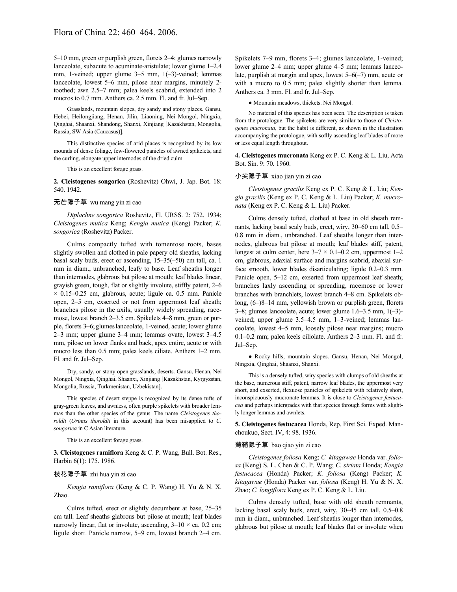5–10 mm, green or purplish green, florets 2–4; glumes narrowly lanceolate, subacute to acuminate-aristulate; lower glume 1–2.4 mm, 1-veined; upper glume 3–5 mm, 1(–3)-veined; lemmas lanceolate, lowest 5–6 mm, pilose near margins, minutely 2 toothed; awn 2.5–7 mm; palea keels scabrid, extended into 2 mucros to 0.7 mm. Anthers ca. 2.5 mm. Fl. and fr. Jul–Sep.

Grasslands, mountain slopes, dry sandy and stony places. Gansu, Hebei, Heilongjiang, Henan, Jilin, Liaoning, Nei Mongol, Ningxia, Qinghai, Shaanxi, Shandong, Shanxi, Xinjiang [Kazakhstan, Mongolia, Russia; SW Asia (Caucasus)].

This distinctive species of arid places is recognized by its low mounds of dense foliage, few-flowered panicles of awned spikelets, and the curling, elongate upper internodes of the dried culm.

This is an excellent forage grass.

**2. Cleistogenes songorica** (Roshevitz) Ohwi, J. Jap. Bot. 18: 540. 1942.

## 无芒隐子草 wu mang yin zi cao

*Diplachne songorica* Roshevitz, Fl. URSS. 2: 752. 1934; *Cleistogenes mutica* Keng; *Kengia mutica* (Keng) Packer; *K. songorica* (Roshevitz) Packer.

Culms compactly tufted with tomentose roots, bases slightly swollen and clothed in pale papery old sheaths, lacking basal scaly buds, erect or ascending, 15–35(–50) cm tall, ca. 1 mm in diam., unbranched, leafy to base. Leaf sheaths longer than internodes, glabrous but pilose at mouth; leaf blades linear, grayish green, tough, flat or slightly involute, stiffly patent, 2–6  $\times$  0.15–0.25 cm, glabrous, acute; ligule ca. 0.5 mm. Panicle open, 2–5 cm, exserted or not from uppermost leaf sheath; branches pilose in the axils, usually widely spreading, racemose, lowest branch 2–3.5 cm. Spikelets 4–8 mm, green or purple, florets 3–6; glumeslanceolate, 1-veined, acute; lower glume 2–3 mm; upper glume 3–4 mm; lemmas ovate, lowest 3–4.5 mm, pilose on lower flanks and back, apex entire, acute or with mucro less than 0.5 mm; palea keels ciliate. Anthers 1–2 mm. Fl. and fr. Jul–Sep.

Dry, sandy, or stony open grasslands, deserts. Gansu, Henan, Nei Mongol, Ningxia, Qinghai, Shaanxi, Xinjiang [Kazakhstan, Kyrgyzstan, Mongolia, Russia, Turkmenistan, Uzbekistan].

This species of desert steppe is recognized by its dense tufts of gray-green leaves, and awnless, often purple spikelets with broader lemmas than the other species of the genus. The name *Cleistogenes thoroldii* (*Orinus thoroldii* in this account) has been misapplied to *C. songorica* in C Asian literature.

This is an excellent forage grass.

**3. Cleistogenes ramiflora** Keng & C. P. Wang, Bull. Bot. Res., Harbin 6(1): 175. 1986.

#### 枝花隐子草 zhi hua yin zi cao

*Kengia ramiflora* (Keng & C. P. Wang) H. Yu & N. X. Zhao.

Culms tufted, erect or slightly decumbent at base, 25–35 cm tall. Leaf sheaths glabrous but pilose at mouth; leaf blades narrowly linear, flat or involute, ascending,  $3-10 \times$  ca. 0.2 cm; ligule short. Panicle narrow, 5–9 cm, lowest branch 2–4 cm. Spikelets 7–9 mm, florets 3–4; glumes lanceolate, 1-veined; lower glume 2–4 mm; upper glume 4–5 mm; lemmas lanceolate, purplish at margin and apex, lowest 5–6(–7) mm, acute or with a mucro to 0.5 mm; palea slightly shorter than lemma. Anthers ca. 3 mm. Fl. and fr. Jul–Sep.

● Mountain meadows, thickets. Nei Mongol.

No material of this species has been seen. The description is taken from the protologue. The spikelets are very similar to those of *Cleistogenes mucronata*, but the habit is different, as shown in the illustration accompanying the protologue, with softly ascending leaf blades of more or less equal length throughout.

**4. Cleistogenes mucronata** Keng ex P. C. Keng & L. Liu, Acta Bot. Sin. 9: 70. 1960.

## 小尖隐子草 xiao jian yin zi cao

*Cleistogenes gracilis* Keng ex P. C. Keng & L. Liu; *Kengia gracilis* (Keng ex P. C. Keng & L. Liu) Packer; *K. mucronata* (Keng ex P. C. Keng & L. Liu) Packer.

Culms densely tufted, clothed at base in old sheath remnants, lacking basal scaly buds, erect, wiry, 30–60 cm tall, 0.5– 0.8 mm in diam., unbranched. Leaf sheaths longer than internodes, glabrous but pilose at mouth; leaf blades stiff, patent, longest at culm center, here  $3-7 \times 0.1-0.2$  cm, uppermost  $1-2$ cm, glabrous, adaxial surface and margins scabrid, abaxial surface smooth, lower blades disarticulating; ligule 0.2–0.3 mm. Panicle open, 5–12 cm, exserted from uppermost leaf sheath; branches laxly ascending or spreading, racemose or lower branches with branchlets, lowest branch 4–8 cm. Spikelets oblong, (6–)8–14 mm, yellowish brown or purplish green, florets 3–8; glumes lanceolate, acute; lower glume 1.6–3.5 mm, 1(–3) veined; upper glume 3.5–4.5 mm, 1–3-veined; lemmas lanceolate, lowest 4–5 mm, loosely pilose near margins; mucro 0.1–0.2 mm; palea keels ciliolate. Anthers 2–3 mm. Fl. and fr. Jul–Sep.

● Rocky hills, mountain slopes. Gansu, Henan, Nei Mongol, Ningxia, Qinghai, Shaanxi, Shanxi.

This is a densely tufted, wiry species with clumps of old sheaths at the base, numerous stiff, patent, narrow leaf blades, the uppermost very short, and exserted, flexuose panicles of spikelets with relatively short, inconspicuously mucronate lemmas. It is close to *Cleistogenes festucacea* and perhaps intergrades with that species through forms with slightly longer lemmas and awnlets.

**5. Cleistogenes festucacea** Honda, Rep. First Sci. Exped. Manchoukuo, Sect. IV, 4: 98. 1936.

#### 薄鞘隐子草 bao qiao yin zi cao

*Cleistogenes foliosa* Keng; *C. kitagawae* Honda var. *foliosa* (Keng) S. L. Chen & C. P. Wang; *C. striata* Honda; *Kengia festucacea* (Honda) Packer; *K. foliosa* (Keng) Packer; *K. kitagawae* (Honda) Packer var. *foliosa* (Keng) H. Yu & N. X. Zhao; *C. longiflora* Keng ex P. C. Keng & L. Liu.

Culms densely tufted, base with old sheath remnants, lacking basal scaly buds, erect, wiry, 30–45 cm tall, 0.5–0.8 mm in diam., unbranched. Leaf sheaths longer than internodes, glabrous but pilose at mouth; leaf blades flat or involute when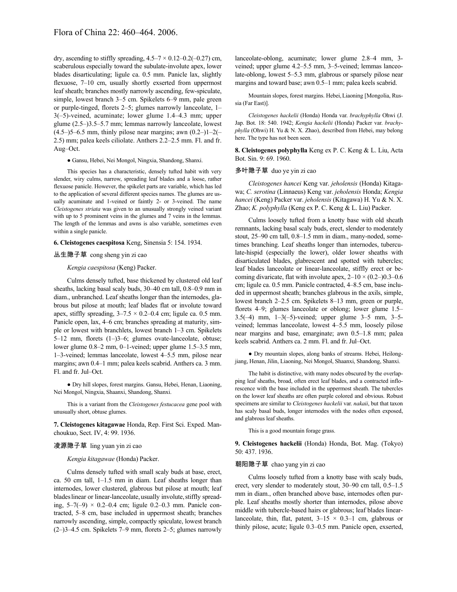dry, ascending to stiffly spreading,  $4.5-7 \times 0.12-0.2(-0.27)$  cm, scaberulous especially toward the subulate-involute apex, lower blades disarticulating; ligule ca. 0.5 mm. Panicle lax, slightly flexuose, 7–10 cm, usually shortly exserted from uppermost leaf sheath; branches mostly narrowly ascending, few-spiculate, simple, lowest branch 3–5 cm. Spikelets 6–9 mm, pale green or purple-tinged, florets 2–5; glumes narrowly lanceolate, 1– 3(–5)-veined, acuminate; lower glume 1.4–4.3 mm; upper glume (2.5–)3.5–5.7 mm; lemmas narrowly lanceolate, lowest  $(4.5-)5-6.5$  mm, thinly pilose near margins; awn  $(0.2-)1-2($ 2.5) mm; palea keels ciliolate. Anthers 2.2–2.5 mm. Fl. and fr. Aug–Oct.

● Gansu, Hebei, Nei Mongol, Ningxia, Shandong, Shanxi.

This species has a characteristic, densely tufted habit with very slender, wiry culms, narrow, spreading leaf blades and a loose, rather flexuose panicle. However, the spikelet parts are variable, which has led to the application of several different species names. The glumes are usually acuminate and 1-veined or faintly 2- or 3-veined. The name *Cleistogenes striata* was given to an unusually strongly veined variant with up to 5 prominent veins in the glumes and 7 veins in the lemmas. The length of the lemmas and awns is also variable, sometimes even within a single panicle.

## **6. Cleistogenes caespitosa** Keng, Sinensia 5: 154. 1934.

## 丛生隐子草 cong sheng yin zi cao

#### *Kengia caespitosa* (Keng) Packer.

Culms densely tufted, base thickened by clustered old leaf sheaths, lacking basal scaly buds, 30–40 cm tall, 0.8–0.9 mm in diam., unbranched. Leaf sheaths longer than the internodes, glabrous but pilose at mouth; leaf blades flat or involute toward apex, stiffly spreading,  $3-7.5 \times 0.2-0.4$  cm; ligule ca. 0.5 mm. Panicle open, lax, 4–6 cm; branches spreading at maturity, simple or lowest with branchlets, lowest branch 1–3 cm. Spikelets 5–12 mm, florets (1–)3–6; glumes ovate-lanceolate, obtuse; lower glume 0.8–2 mm, 0–1-veined; upper glume 1.5–3.5 mm, 1–3-veined; lemmas lanceolate, lowest 4–5.5 mm, pilose near margins; awn 0.4–1 mm; palea keels scabrid. Anthers ca. 3 mm. Fl. and fr. Jul–Oct.

● Dry hill slopes, forest margins. Gansu, Hebei, Henan, Liaoning, Nei Mongol, Ningxia, Shaanxi, Shandong, Shanxi.

This is a variant from the *Cleistogenes festucacea* gene pool with unusually short, obtuse glumes.

**7. Cleistogenes kitagawae** Honda, Rep. First Sci. Exped. Manchoukuo, Sect. IV, 4: 99. 1936.

#### 凌源隐子草 ling yuan yin zi cao

#### *Kengia kitagawae* (Honda) Packer.

Culms densely tufted with small scaly buds at base, erect, ca. 50 cm tall, 1–1.5 mm in diam. Leaf sheaths longer than internodes, lower clustered, glabrous but pilose at mouth; leaf blades linear or linear-lanceolate, usually involute, stiffly spreading, 5–7(–9) × 0.2–0.4 cm; ligule 0.2–0.3 mm. Panicle contracted, 5–8 cm, base included in uppermost sheath; branches narrowly ascending, simple, compactly spiculate, lowest branch (2–)3–4.5 cm. Spikelets 7–9 mm, florets 2–5; glumes narrowly

lanceolate-oblong, acuminate; lower glume 2.8–4 mm, 3 veined; upper glume 4.2–5.5 mm, 3–5-veined; lemmas lanceolate-oblong, lowest 5–5.3 mm, glabrous or sparsely pilose near margins and toward base; awn 0.5–1 mm; palea keels scabrid.

Mountain slopes, forest margins. Hebei,Liaoning [Mongolia, Russia (Far East)].

*Cleistogenes hackelii* (Honda) Honda var. *brachyphylla* Ohwi (J. Jap. Bot. 18: 540. 1942; *Kengia hackelii* (Honda) Packer var. *brachyphylla* (Ohwi) H. Yu & N. X. Zhao), described from Hebei, may belong here. The type has not been seen.

**8. Cleistogenes polyphylla** Keng ex P. C. Keng & L. Liu, Acta Bot. Sin. 9: 69. 1960.

## 多叶隐子草 duo ye yin zi cao

*Cleistogenes hancei* Keng var. *jeholensis* (Honda) Kitagawa; *C. serotina* (Linnaeus) Keng var. *jeholensis* Honda; *Kengia hancei* (Keng) Packer var. *jeholensis* (Kitagawa) H. Yu & N. X. Zhao; *K. polyphylla* (Keng ex P. C. Keng & L. Liu) Packer.

Culms loosely tufted from a knotty base with old sheath remnants, lacking basal scaly buds, erect, slender to moderately stout, 25–90 cm tall, 0.8–1.5 mm in diam., many-noded, sometimes branching. Leaf sheaths longer than internodes, tuberculate-hispid (especially the lower), older lower sheaths with disarticulated blades, glabrescent and spotted with tubercles; leaf blades lanceolate or linear-lanceolate, stiffly erect or becoming divaricate, flat with involute apex,  $2-10 \times (0.2-0.3-0.6$ cm; ligule ca. 0.5 mm. Panicle contracted, 4–8.5 cm, base included in uppermost sheath; branches glabrous in the axils, simple, lowest branch 2–2.5 cm. Spikelets 8–13 mm, green or purple, florets 4–9; glumes lanceolate or oblong; lower glume 1.5– 3.5(–4) mm, 1–3(–5)-veined; upper glume 3–5 mm, 3–5 veined; lemmas lanceolate, lowest 4–5.5 mm, loosely pilose near margins and base, emarginate; awn 0.5–1.8 mm; palea keels scabrid. Anthers ca. 2 mm. Fl. and fr. Jul–Oct.

● Dry mountain slopes, along banks of streams. Hebei, Heilongjiang, Henan, Jilin, Liaoning, Nei Mongol, Shaanxi, Shandong, Shanxi.

The habit is distinctive, with many nodes obscured by the overlapping leaf sheaths, broad, often erect leaf blades, and a contracted inflorescence with the base included in the uppermost sheath. The tubercles on the lower leaf sheaths are often purple colored and obvious. Robust specimens are similar to *Cleistogenes hackelii* var. *nakaii*, but that taxon has scaly basal buds, longer internodes with the nodes often exposed, and glabrous leaf sheaths.

This is a good mountain forage grass.

**9. Cleistogenes hackelii** (Honda) Honda, Bot. Mag. (Tokyo) 50: 437. 1936.

## 朝阳隐子草 chao yang yin zi cao

Culms loosely tufted from a knotty base with scaly buds, erect, very slender to moderately stout, 30–90 cm tall, 0.5–1.5 mm in diam., often branched above base, internodes often purple. Leaf sheaths mostly shorter than internodes, pilose above middle with tubercle-based hairs or glabrous; leaf blades linearlanceolate, thin, flat, patent,  $3-15 \times 0.3-1$  cm, glabrous or thinly pilose, acute; ligule 0.3–0.5 mm. Panicle open, exserted,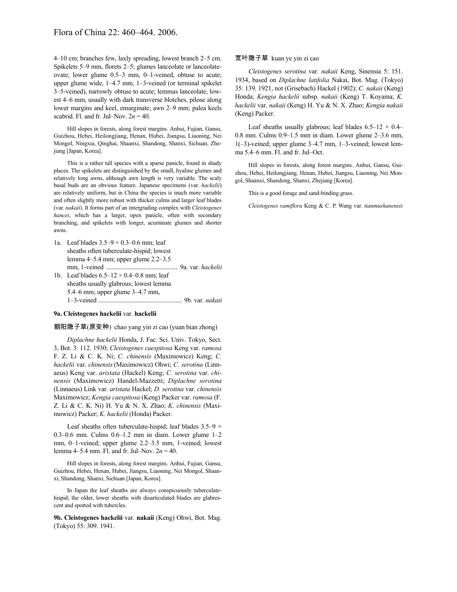4–10 cm; branches few, laxly spreading, lowest branch 2–5 cm. Spikelets 5–9 mm, florets 2–5; glumes lanceolate or lanceolateovate; lower glume 0.5–3 mm, 0–1-veined, obtuse to acute; upper glume wide, 1–4.7 mm, 1–3-veined (or terminal spikelet 3–5-veined), narrowly obtuse to acute; lemmas lanceolate, lowest 4–6 mm, usually with dark transverse blotches, pilose along lower margins and keel, emarginate; awn 2–9 mm; palea keels scabrid. Fl. and fr. Jul–Nov.  $2n = 40$ .

Hill slopes in forests, along forest margins. Anhui, Fujian, Gansu, Guizhou, Hebei, Heilongjiang, Henan, Hubei, Jiangsu, Liaoning, Nei Mongol, Ningxia, Qinghai, Shaanxi, Shandong, Shanxi, Sichuan, Zhejiang [Japan, Korea].

This is a rather tall species with a sparse panicle, found in shady places. The spikelets are distinguished by the small, hyaline glumes and relatively long awns, although awn length is very variable. The scaly basal buds are an obvious feature. Japanese specimens (var. *hackelii*) are relatively uniform, but in China the species is much more variable and often slightly more robust with thicker culms and larger leaf blades (var. *nakaii*). It forms part of an intergrading complex with *Cleistogenes hancei*, which has a larger, open panicle, often with secondary branching, and spikelets with longer, acuminate glumes and shorter awns.

1a. Leaf blades  $3.5-9 \times 0.3-0.6$  mm; leaf sheaths often tuberculate-hispid; lowest lemma 4–5.4 mm; upper glume 2.2–3.5 mm, 1-veined ............................................ 9a. var. *hackelii* 1b. Leaf blades  $6.5-12 \times 0.4-0.8$  mm; leaf sheaths usually glabrous; lowest lemma 5.4–6 mm; upper glume 3–4.7 mm, 1–3-veined .................................................... 9b. var. *nakaii*

#### **9a. Cleistogenes hackelii** var. **hackelii**

#### 朝阳隐子草(原变种) chao yang yin zi cao (yuan bian zhong)

*Diplachne hackelii* Honda, J. Fac. Sci. Univ. Tokyo, Sect. 3, Bot. 3: 112. 1930; *Cleistogenes caespitosa* Keng var. *ramosa* F. Z. Li & C. K. Ni; *C. chinensis* (Maximowicz) Keng; *C. hackelii* var. *chinensis*(Maximowicz) Ohwi; *C. serotina* (Linnaeus) Keng var. *aristata* (Hackel) Keng; *C. serotina* var. *chinensis* (Maximowicz) Handel-Mazzetti; *Diplachne serotina* (Linnaeus) Link var. *aristata* Hackel; *D. serotina* var. *chinensis* Maximowicz; *Kengia caespitosa* (Keng) Packer var. *ramosa* (F. Z. Li & C. K. Ni) H. Yu & N. X. Zhao; *K. chinensis* (Maximowicz) Packer; *K. hackelii* (Honda) Packer.

Leaf sheaths often tuberculate-hispid; leaf blades  $3.5-9 \times$ 0.3–0.6 mm. Culms 0.6–1.2 mm in diam. Lower glume 1–2 mm, 0–1-veined; upper glume 2.2–3.5 mm, 1-veined; lowest lemma 4–5.4 mm. Fl. and fr. Jul–Nov. 2*n* = 40.

Hill slopes in forests, along forest margins. Anhui, Fujian, Gansu, Guizhou, Hebei, Henan, Hubei, Jiangsu, Liaoning, Nei Mongol, Shaanxi, Shandong, Shanxi, Sichuan [Japan, Korea].

In Japan the leaf sheaths are always conspicuously tuberculatehispid; the older, lower sheaths with disarticulated blades are glabrescent and spotted with tubercles.

**9b. Cleistogenes hackelii** var. **nakaii** (Keng) Ohwi, Bot. Mag. (Tokyo) 55: 309. 1941.

## 宽叶隐子草 kuan ye yin zi cao

*Cleistogenes serotina* var. *nakaii* Keng, Sinensia 5: 151. 1934, based on *Diplachne latifolia* Nakai, Bot. Mag. (Tokyo) 35: 139. 1921, not (Grisebach) Hackel (1902); *C. nakaii* (Keng) Honda; *Kengia hackelii* subsp. *nakaii* (Keng) T. Koyama; *K. hackelii* var. *nakaii* (Keng) H. Yu & N. X. Zhao; *Kengia nakaii* (Keng) Packer.

Leaf sheaths usually glabrous; leaf blades  $6.5-12 \times 0.4-$ 0.8 mm. Culms 0.9–1.5 mm in diam. Lower glume 2–3.6 mm, 1(–3)-veined; upper glume 3–4.7 mm, 1–3-veined; lowest lemma 5.4–6 mm. Fl. and fr. Jul–Oct.

Hill slopes in forests, along forest margins. Anhui, Gansu, Guizhou, Hebei, Heilongjiang, Henan, Hubei, Jiangsu, Liaoning, Nei Mongol, Shaanxi, Shandong, Shanxi, Zhejiang [Korea].

This is a good forage and sand-binding grass.

*Cleistogenes ramiflora* Keng & C. P. Wang var. *tianmushanensis*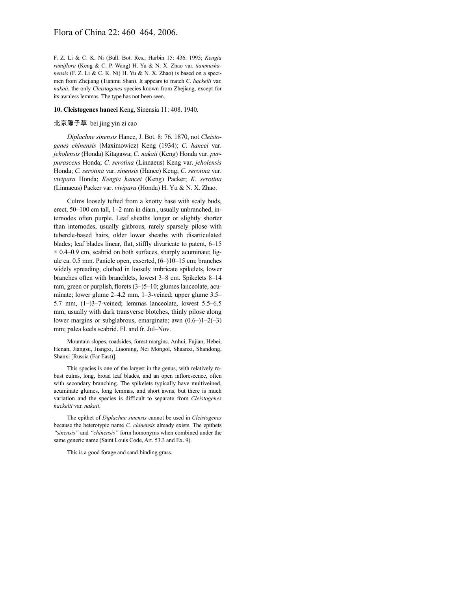# Flora of China 22: 460–464. 2006.

F. Z. Li & C. K. Ni (Bull. Bot. Res., Harbin 15: 436. 1995; *Kengia ramiflora* (Keng & C. P. Wang) H. Yu & N. X. Zhao var. *tianmushanensis* (F. Z. Li & C. K. Ni) H. Yu & N. X. Zhao) is based on a specimen from Zhejiang (Tianmu Shan). It appears to match *C. hackelii* var. *nakaii*, the only *Cleistogenes* species known from Zhejiang, except for its awnless lemmas. The type has not been seen.

## **10. Cleistogenes hancei** Keng, Sinensia 11: 408. 1940.

## 北京隐子草 bei jing yin zi cao

*Diplachne sinensis* Hance, J. Bot. 8: 76. 1870, not *Cleistogenes chinensis* (Maximowicz) Keng (1934); *C. hancei* var. *jeholensis* (Honda) Kitagawa; *C. nakaii* (Keng) Honda var. *purpurascens* Honda; *C. serotina* (Linnaeus) Keng var. *jeholensis* Honda; *C. serotina* var. *sinensis* (Hance) Keng; *C. serotina* var. *vivipara* Honda; *Kengia hancei* (Keng) Packer; *K. serotina* (Linnaeus) Packer var. *vivipara* (Honda) H. Yu & N. X. Zhao.

Culms loosely tufted from a knotty base with scaly buds, erect, 50–100 cm tall, 1–2 mm in diam., usually unbranched, internodes often purple. Leaf sheaths longer or slightly shorter than internodes, usually glabrous, rarely sparsely pilose with tubercle-based hairs, older lower sheaths with disarticulated blades; leaf blades linear, flat, stiffly divaricate to patent, 6–15  $\times$  0.4–0.9 cm, scabrid on both surfaces, sharply acuminate; ligule ca. 0.5 mm. Panicle open, exserted, (6–)10–15 cm; branches widely spreading, clothed in loosely imbricate spikelets, lower branches often with branchlets, lowest 3–8 cm. Spikelets 8–14 mm, green or purplish, florets (3–)5–10; glumes lanceolate, acuminate; lower glume 2–4.2 mm, 1–3-veined; upper glume 3.5– 5.7 mm, (1–)3–7-veined; lemmas lanceolate, lowest 5.5–6.5 mm, usually with dark transverse blotches, thinly pilose along lower margins or subglabrous, emarginate; awn (0.6–)1–2(–3) mm; palea keels scabrid. Fl. and fr. Jul–Nov.

Mountain slopes, roadsides, forest margins. Anhui, Fujian, Hebei, Henan, Jiangsu, Jiangxi, Liaoning, Nei Mongol, Shaanxi, Shandong, Shanxi [Russia (Far East)].

This species is one of the largest in the genus, with relatively robust culms, long, broad leaf blades, and an open inflorescence, often with secondary branching. The spikelets typically have multiveined, acuminate glumes, long lemmas, and short awns, but there is much variation and the species is difficult to separate from *Cleistogenes hackelii* var. *nakaii*.

The epithet of *Diplachne sinensis* cannot be used in *Cleistogenes* because the heterotypic name *C. chinensis* already exists. The epithets *"sinensis"* and *"chinensis"* form homonyms when combined under the same generic name (Saint Louis Code, Art. 53.3 and Ex. 9).

This is a good forage and sand-binding grass.